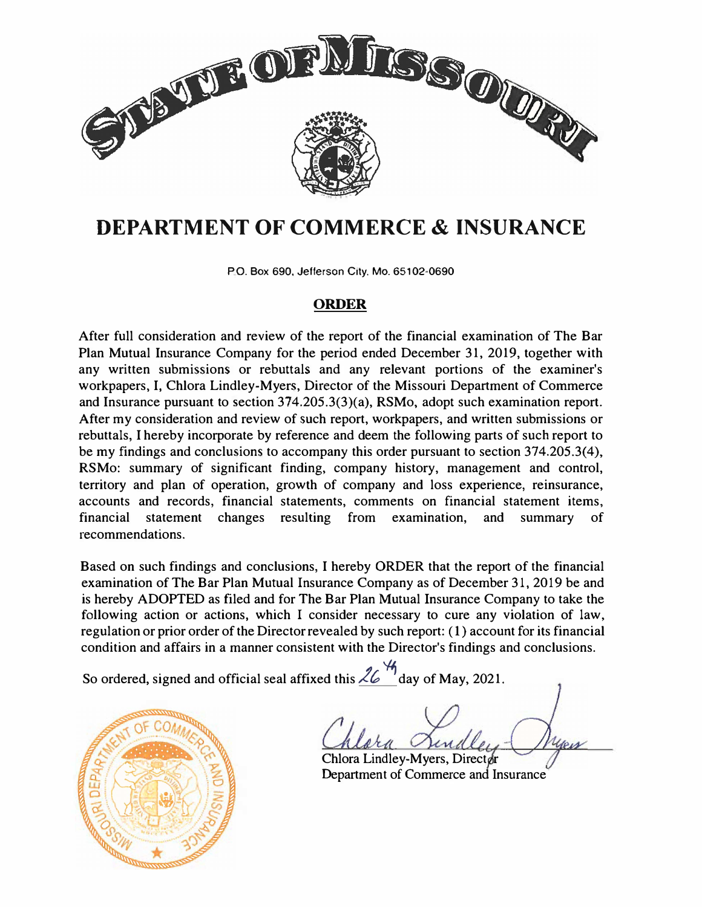

# **DEPARTMENT OF COMMERCE & INSURANCE**

PO. Box 690, Jefferson City. Mo. 65102-0690

#### **ORDER**

After full consideration and review of the report of the financial examination of The Bar Plan Mutual Insurance Company for the period ended December 31, 2019, together with any written submissions or rebuttals and any relevant portions of the examiner's workpapers, I, Chlora Lindley-Myers, Director of the Missouri Department of Commerce and Insurance pursuant to section 374.205.3(3)(a), RSMo, adopt such examination report. After my consideration and review of such report, workpapers, and written submissions or rebuttals, I hereby incorporate by reference and deem the following parts of such report to be my findings and conclusions to accompany this order pursuant to section 374.205.3(4), RSMo: summary of significant finding, company history, management and control, territory and plan of operation, growth of company and loss experience, reinsurance, accounts and records, financial statements, comments on financial statement items, financial statement changes resulting from examination, and summary of recommendations.

Based on such findings and conclusions, I hereby ORDER that the report of the financial examination of The Bar Plan Mutual Insurance Company as of December 31, 2019 be and is hereby ADOPTED as filed and for The Bar Plan Mutual Insurance Company to take the following action or actions, which I consider necessary to cure any violation of law, regulation or prior order of the Director revealed by such report: ( 1) account for its financial condition and affairs in a manner consistent with the Director's findings and conclusions.

So ordered, signed and official seal affixed this  $\frac{26}{9}$  day of May, 2021.



Chlora Lindley-Myers, Director Department of Commerce and Insurance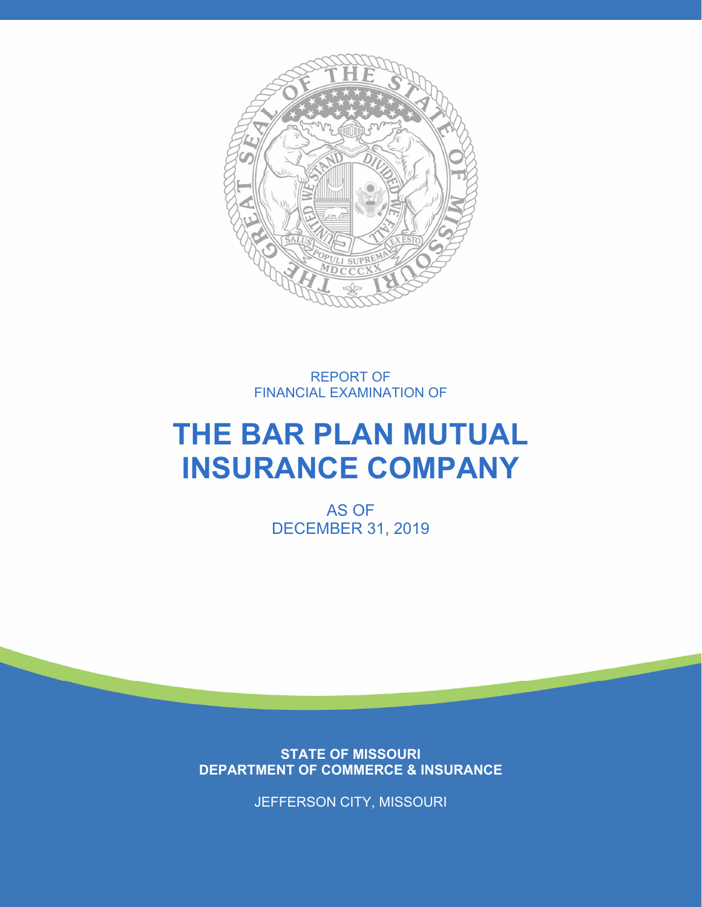

REPORT OF FINANCIAL EXAMINATION OF

# **THE BAR PLAN MUTUAL INSURANCE COMPANY**

AS OF DECEMBER 31, 2019

**STATE OF MISSOURI DEPARTMENT OF COMMERCE & INSURANCE** 

JEFFERSON CITY, MISSOURI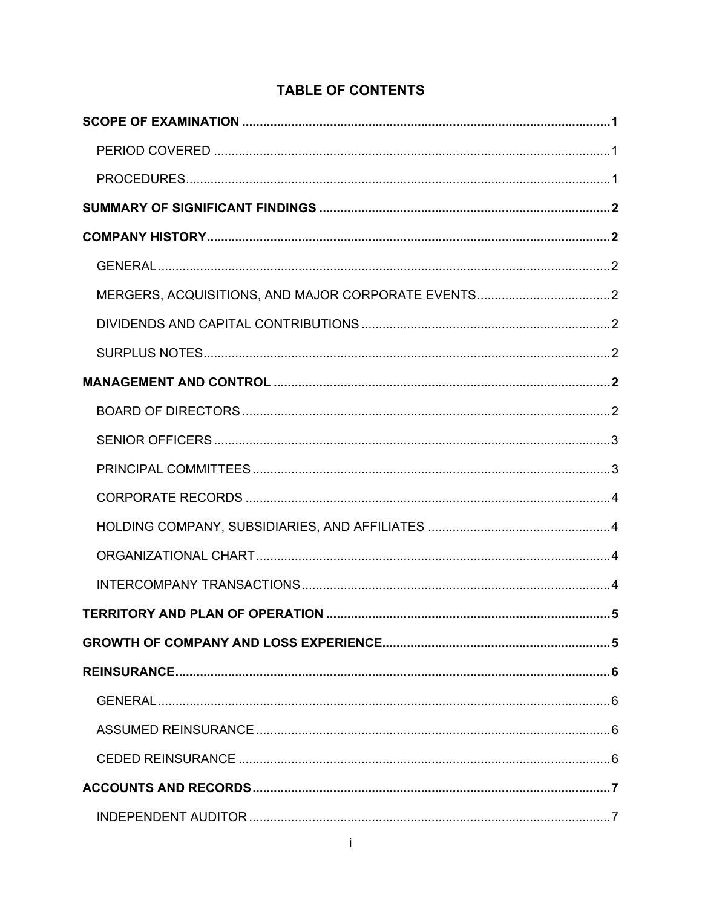## **TABLE OF CONTENTS**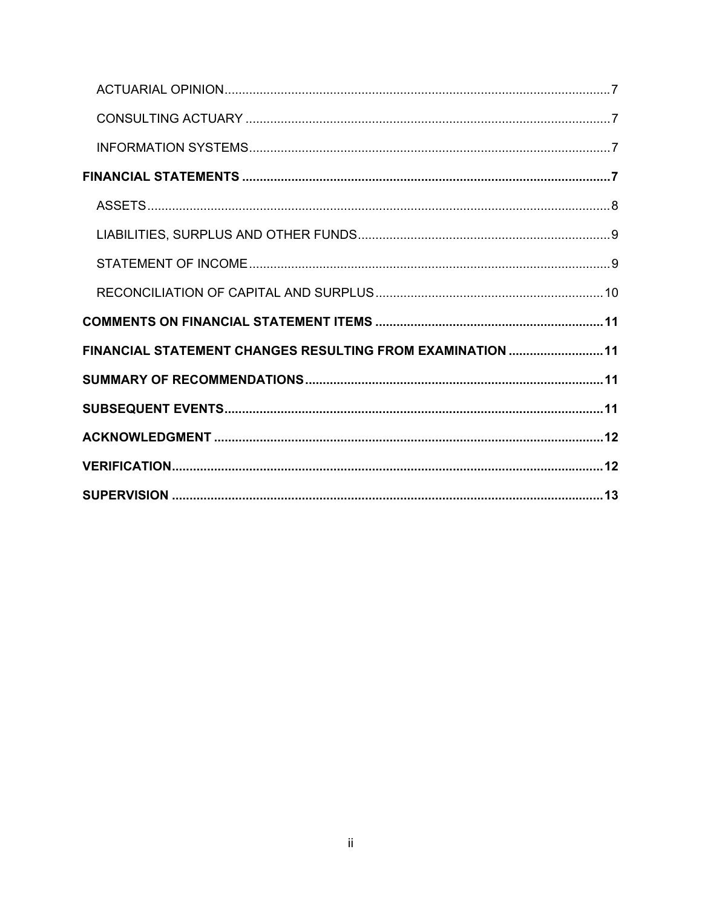| FINANCIAL STATEMENT CHANGES RESULTING FROM EXAMINATION  11 |  |
|------------------------------------------------------------|--|
|                                                            |  |
|                                                            |  |
|                                                            |  |
|                                                            |  |
|                                                            |  |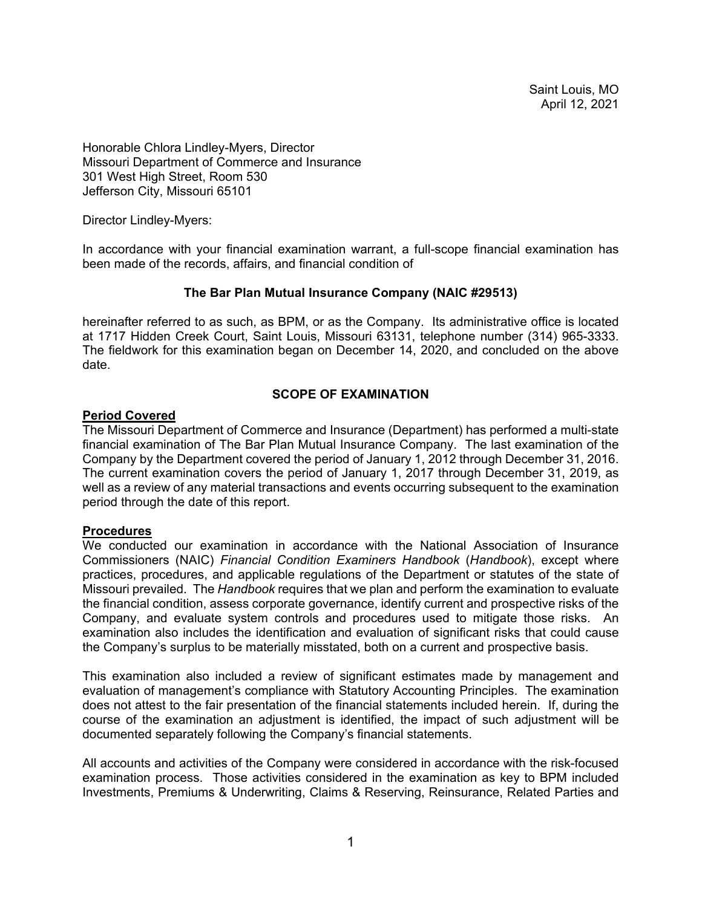Saint Louis, MO April 12, 2021

Honorable Chlora Lindley-Myers, Director Missouri Department of Commerce and Insurance 301 West High Street, Room 530 Jefferson City, Missouri 65101

Director Lindley-Myers:

In accordance with your financial examination warrant, a full-scope financial examination has been made of the records, affairs, and financial condition of

#### **The Bar Plan Mutual Insurance Company (NAIC #29513)**

hereinafter referred to as such, as BPM, or as the Company. Its administrative office is located at 1717 Hidden Creek Court, Saint Louis, Missouri 63131, telephone number (314) 965-3333. The fieldwork for this examination began on December 14, 2020, and concluded on the above date.

#### **SCOPE OF EXAMINATION**

#### **Period Covered**

The Missouri Department of Commerce and Insurance (Department) has performed a multi-state financial examination of The Bar Plan Mutual Insurance Company. The last examination of the Company by the Department covered the period of January 1, 2012 through December 31, 2016. The current examination covers the period of January 1, 2017 through December 31, 2019, as well as a review of any material transactions and events occurring subsequent to the examination period through the date of this report.

#### **Procedures**

We conducted our examination in accordance with the National Association of Insurance Commissioners (NAIC) *Financial Condition Examiners Handbook* (*Handbook*), except where practices, procedures, and applicable regulations of the Department or statutes of the state of Missouri prevailed. The *Handbook* requires that we plan and perform the examination to evaluate the financial condition, assess corporate governance, identify current and prospective risks of the Company, and evaluate system controls and procedures used to mitigate those risks. An examination also includes the identification and evaluation of significant risks that could cause the Company's surplus to be materially misstated, both on a current and prospective basis.

This examination also included a review of significant estimates made by management and evaluation of management's compliance with Statutory Accounting Principles. The examination does not attest to the fair presentation of the financial statements included herein. If, during the course of the examination an adjustment is identified, the impact of such adjustment will be documented separately following the Company's financial statements.

All accounts and activities of the Company were considered in accordance with the risk-focused examination process. Those activities considered in the examination as key to BPM included Investments, Premiums & Underwriting, Claims & Reserving, Reinsurance, Related Parties and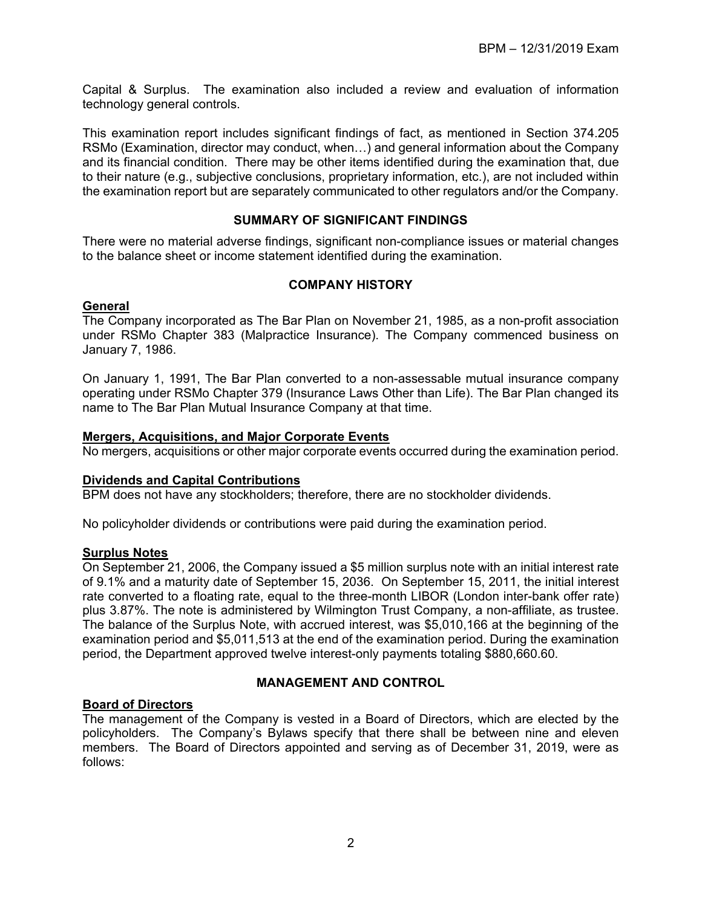Capital & Surplus. The examination also included a review and evaluation of information technology general controls.

This examination report includes significant findings of fact, as mentioned in Section 374.205 RSMo (Examination, director may conduct, when…) and general information about the Company and its financial condition. There may be other items identified during the examination that, due to their nature (e.g., subjective conclusions, proprietary information, etc.), are not included within the examination report but are separately communicated to other regulators and/or the Company.

#### **SUMMARY OF SIGNIFICANT FINDINGS**

There were no material adverse findings, significant non-compliance issues or material changes to the balance sheet or income statement identified during the examination.

#### **COMPANY HISTORY**

#### **General**

The Company incorporated as The Bar Plan on November 21, 1985, as a non-profit association under RSMo Chapter 383 (Malpractice Insurance). The Company commenced business on January 7, 1986.

On January 1, 1991, The Bar Plan converted to a non-assessable mutual insurance company operating under RSMo Chapter 379 (Insurance Laws Other than Life). The Bar Plan changed its name to The Bar Plan Mutual Insurance Company at that time.

#### **Mergers, Acquisitions, and Major Corporate Events**

No mergers, acquisitions or other major corporate events occurred during the examination period.

#### **Dividends and Capital Contributions**

BPM does not have any stockholders; therefore, there are no stockholder dividends.

No policyholder dividends or contributions were paid during the examination period.

#### **Surplus Notes**

On September 21, 2006, the Company issued a \$5 million surplus note with an initial interest rate of 9.1% and a maturity date of September 15, 2036. On September 15, 2011, the initial interest rate converted to a floating rate, equal to the three-month LIBOR (London inter-bank offer rate) plus 3.87%. The note is administered by Wilmington Trust Company, a non-affiliate, as trustee. The balance of the Surplus Note, with accrued interest, was \$5,010,166 at the beginning of the examination period and \$5,011,513 at the end of the examination period. During the examination period, the Department approved twelve interest-only payments totaling \$880,660.60.

#### **MANAGEMENT AND CONTROL**

#### **Board of Directors**

The management of the Company is vested in a Board of Directors, which are elected by the policyholders. The Company's Bylaws specify that there shall be between nine and eleven members. The Board of Directors appointed and serving as of December 31, 2019, were as follows: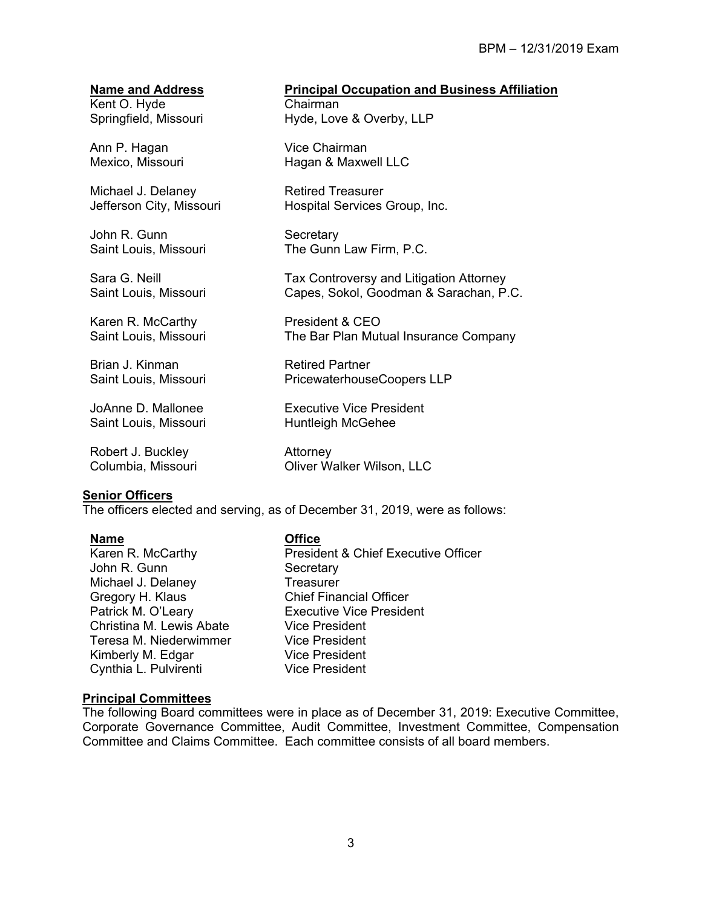Kent O. Hyde Springfield, Missouri

Ann P. Hagan Mexico, Missouri

Michael J. Delaney Jefferson City, Missouri

John R. Gunn Saint Louis, Missouri

Sara G. Neill Saint Louis, Missouri

Karen R. McCarthy Saint Louis, Missouri

Brian J. Kinman Saint Louis, Missouri

JoAnne D. Mallonee Saint Louis, Missouri

Robert J. Buckley Columbia, Missouri

#### **Senior Officers**

The officers elected and serving, as of December 31, 2019, were as follows:

#### **Name Office**

Karen R. McCarthy John R. Gunn Michael J. Delaney Gregory H. Klaus Patrick M. O'Leary Christina M. Lewis Abate Teresa M. Niederwimmer Kimberly M. Edgar Cynthia L. Pulvirenti

President & Chief Executive Officer **Secretary Treasurer** Chief Financial Officer Executive Vice President Vice President Vice President Vice President Vice President

#### **Principal Committees**

The following Board committees were in place as of December 31, 2019: Executive Committee, Corporate Governance Committee, Audit Committee, Investment Committee, Compensation Committee and Claims Committee. Each committee consists of all board members.

#### **Name and Address Principal Occupation and Business Affiliation**

Chairman Hyde, Love & Overby, LLP

Vice Chairman Hagan & Maxwell LLC

Retired Treasurer Hospital Services Group, Inc.

**Secretary** The Gunn Law Firm, P.C.

Tax Controversy and Litigation Attorney Capes, Sokol, Goodman & Sarachan, P.C.

President & CEO The Bar Plan Mutual Insurance Company

Retired Partner PricewaterhouseCoopers LLP

Executive Vice President Huntleigh McGehee

Attorney Oliver Walker Wilson, LLC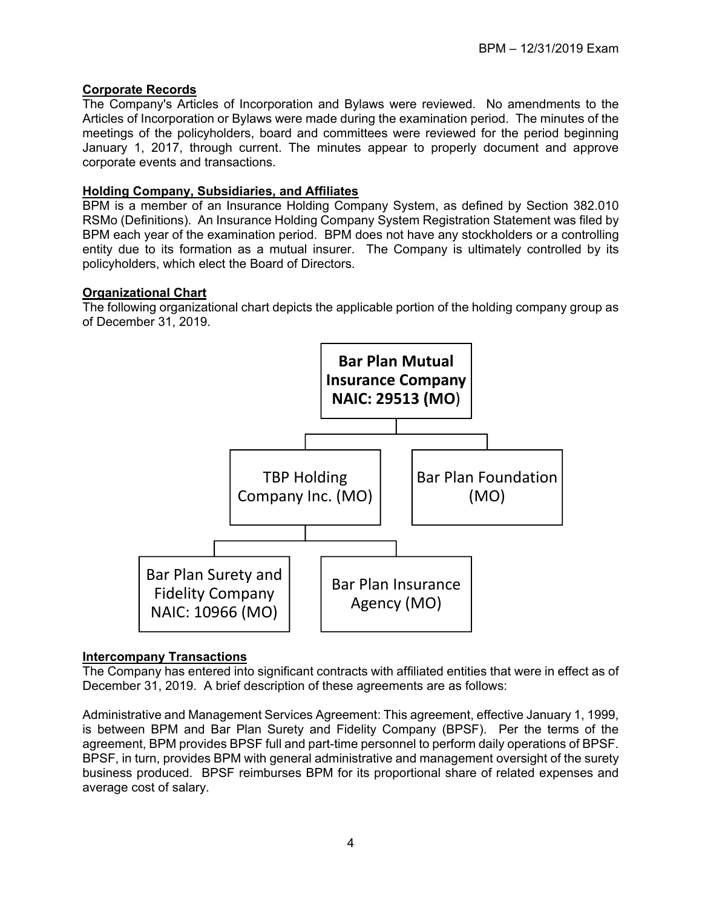#### **Corporate Records**

The Company's Articles of Incorporation and Bylaws were reviewed. No amendments to the Articles of Incorporation or Bylaws were made during the examination period. The minutes of the meetings of the policyholders, board and committees were reviewed for the period beginning January 1, 2017, through current. The minutes appear to properly document and approve corporate events and transactions.

#### **Holding Company, Subsidiaries, and Affiliates**

BPM is a member of an Insurance Holding Company System, as defined by Section 382.010 RSMo (Definitions). An Insurance Holding Company System Registration Statement was filed by BPM each year of the examination period. BPM does not have any stockholders or a controlling entity due to its formation as a mutual insurer. The Company is ultimately controlled by its policyholders, which elect the Board of Directors.

#### **Organizational Chart**

The following organizational chart depicts the applicable portion of the holding company group as of December 31, 2019.



#### **Intercompany Transactions**

The Company has entered into significant contracts with affiliated entities that were in effect as of December 31, 2019. A brief description of these agreements are as follows:

Administrative and Management Services Agreement: This agreement, effective January 1, 1999, is between BPM and Bar Plan Surety and Fidelity Company (BPSF). Per the terms of the agreement, BPM provides BPSF full and part-time personnel to perform daily operations of BPSF. BPSF, in turn, provides BPM with general administrative and management oversight of the surety business produced. BPSF reimburses BPM for its proportional share of related expenses and average cost of salary.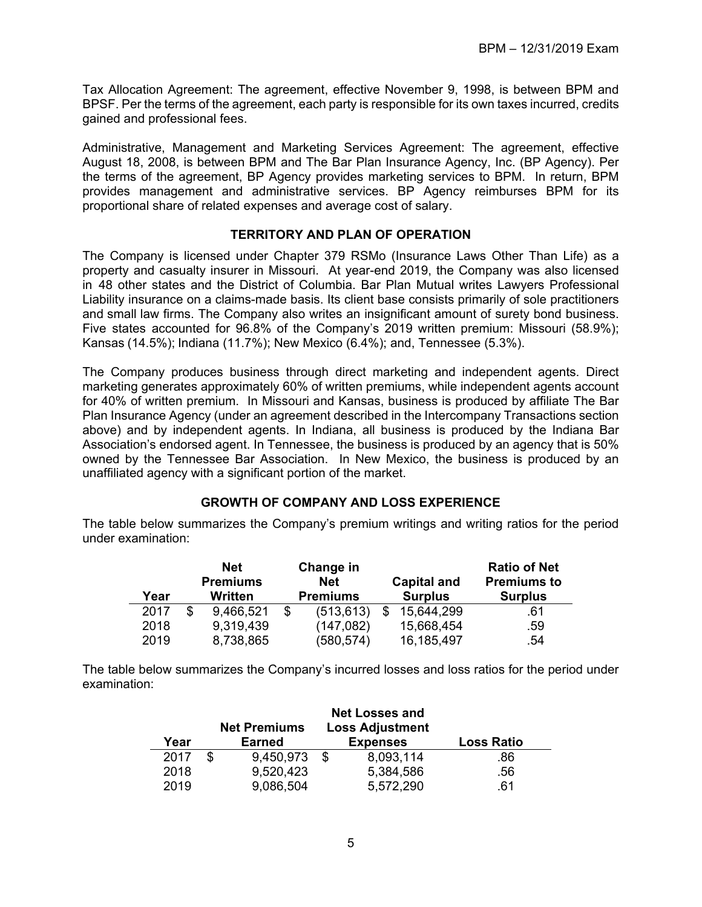Tax Allocation Agreement: The agreement, effective November 9, 1998, is between BPM and BPSF. Per the terms of the agreement, each party is responsible for its own taxes incurred, credits gained and professional fees.

Administrative, Management and Marketing Services Agreement: The agreement, effective August 18, 2008, is between BPM and The Bar Plan Insurance Agency, Inc. (BP Agency). Per the terms of the agreement, BP Agency provides marketing services to BPM. In return, BPM provides management and administrative services. BP Agency reimburses BPM for its proportional share of related expenses and average cost of salary.

#### **TERRITORY AND PLAN OF OPERATION**

The Company is licensed under Chapter 379 RSMo (Insurance Laws Other Than Life) as a property and casualty insurer in Missouri. At year-end 2019, the Company was also licensed in 48 other states and the District of Columbia. Bar Plan Mutual writes Lawyers Professional Liability insurance on a claims-made basis. Its client base consists primarily of sole practitioners and small law firms. The Company also writes an insignificant amount of surety bond business. Five states accounted for 96.8% of the Company's 2019 written premium: Missouri (58.9%); Kansas (14.5%); Indiana (11.7%); New Mexico (6.4%); and, Tennessee (5.3%).

The Company produces business through direct marketing and independent agents. Direct marketing generates approximately 60% of written premiums, while independent agents account for 40% of written premium. In Missouri and Kansas, business is produced by affiliate The Bar Plan Insurance Agency (under an agreement described in the Intercompany Transactions section above) and by independent agents. In Indiana, all business is produced by the Indiana Bar Association's endorsed agent. In Tennessee, the business is produced by an agency that is 50% owned by the Tennessee Bar Association. In New Mexico, the business is produced by an unaffiliated agency with a significant portion of the market.

#### **GROWTH OF COMPANY AND LOSS EXPERIENCE**

The table below summarizes the Company's premium writings and writing ratios for the period under examination:

| Year | <b>Net</b><br><b>Premiums</b><br>Written | Change in<br><b>Net</b><br><b>Premiums</b> | <b>Capital and</b><br><b>Surplus</b> | <b>Ratio of Net</b><br><b>Premiums to</b><br><b>Surplus</b> |
|------|------------------------------------------|--------------------------------------------|--------------------------------------|-------------------------------------------------------------|
| 2017 | 9,466,521                                | \$<br>(513, 613)                           | 15,644,299                           | .61                                                         |
| 2018 | 9,319,439                                | (147, 082)                                 | 15,668,454                           | .59                                                         |
| 2019 | 8,738,865                                | (580, 574)                                 | 16,185,497                           | .54                                                         |

The table below summarizes the Company's incurred losses and loss ratios for the period under examination:

| Year | <b>Net Premiums</b><br><b>Earned</b> | <b>Net Losses and</b><br><b>Loss Adjustment</b><br><b>Expenses</b> | <b>Loss Ratio</b> |
|------|--------------------------------------|--------------------------------------------------------------------|-------------------|
| 2017 | 9,450,973                            | 8,093,114                                                          | .86               |
| 2018 | 9,520,423                            | 5,384,586                                                          | .56               |
| 2019 | 9,086,504                            | 5,572,290                                                          | 61                |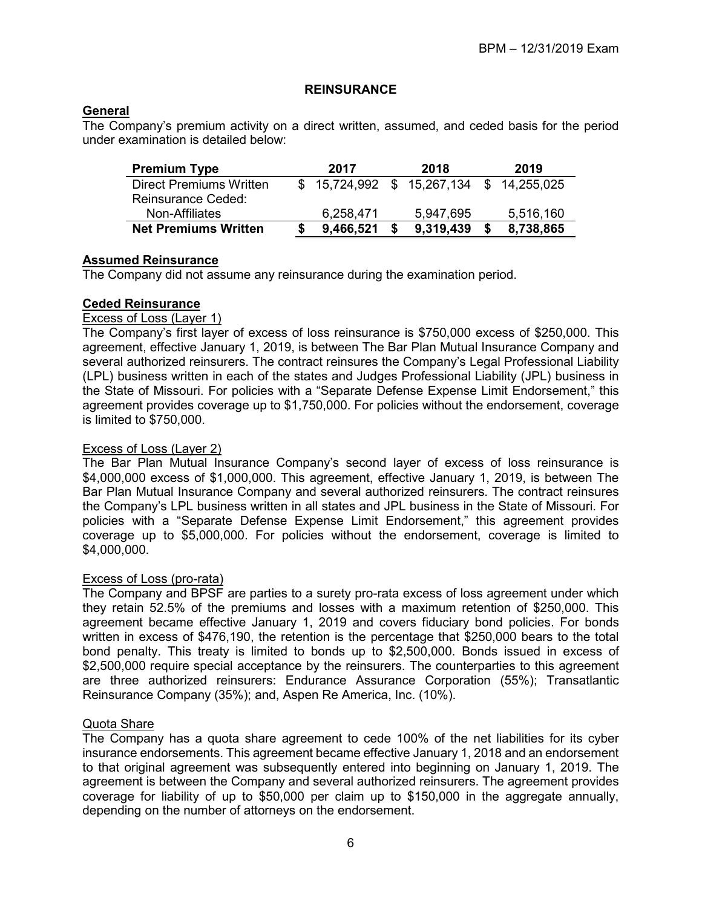#### **REINSURANCE**

#### **General**

The Company's premium activity on a direct written, assumed, and ceded basis for the period under examination is detailed below:

| <b>Premium Type</b>            | 2017      | 2018                                      | 2019      |
|--------------------------------|-----------|-------------------------------------------|-----------|
| <b>Direct Premiums Written</b> |           | $$15,724,992$ $$15,267,134$ $$14,255,025$ |           |
| Reinsurance Ceded:             |           |                                           |           |
| Non-Affiliates                 | 6,258,471 | 5,947,695                                 | 5,516,160 |
| <b>Net Premiums Written</b>    | 9,466,521 | 9,319,439                                 | 8,738,865 |

#### **Assumed Reinsurance**

The Company did not assume any reinsurance during the examination period.

#### **Ceded Reinsurance**

#### Excess of Loss (Layer 1)

The Company's first layer of excess of loss reinsurance is \$750,000 excess of \$250,000. This agreement, effective January 1, 2019, is between The Bar Plan Mutual Insurance Company and several authorized reinsurers. The contract reinsures the Company's Legal Professional Liability (LPL) business written in each of the states and Judges Professional Liability (JPL) business in the State of Missouri. For policies with a "Separate Defense Expense Limit Endorsement," this agreement provides coverage up to \$1,750,000. For policies without the endorsement, coverage is limited to \$750,000.

#### Excess of Loss (Layer 2)

The Bar Plan Mutual Insurance Company's second layer of excess of loss reinsurance is \$4,000,000 excess of \$1,000,000. This agreement, effective January 1, 2019, is between The Bar Plan Mutual Insurance Company and several authorized reinsurers. The contract reinsures the Company's LPL business written in all states and JPL business in the State of Missouri. For policies with a "Separate Defense Expense Limit Endorsement," this agreement provides coverage up to \$5,000,000. For policies without the endorsement, coverage is limited to \$4,000,000.

#### Excess of Loss (pro-rata)

The Company and BPSF are parties to a surety pro-rata excess of loss agreement under which they retain 52.5% of the premiums and losses with a maximum retention of \$250,000. This agreement became effective January 1, 2019 and covers fiduciary bond policies. For bonds written in excess of \$476,190, the retention is the percentage that \$250,000 bears to the total bond penalty. This treaty is limited to bonds up to \$2,500,000. Bonds issued in excess of \$2,500,000 require special acceptance by the reinsurers. The counterparties to this agreement are three authorized reinsurers: Endurance Assurance Corporation (55%); Transatlantic Reinsurance Company (35%); and, Aspen Re America, Inc. (10%).

#### Quota Share

The Company has a quota share agreement to cede 100% of the net liabilities for its cyber insurance endorsements. This agreement became effective January 1, 2018 and an endorsement to that original agreement was subsequently entered into beginning on January 1, 2019. The agreement is between the Company and several authorized reinsurers. The agreement provides coverage for liability of up to \$50,000 per claim up to \$150,000 in the aggregate annually, depending on the number of attorneys on the endorsement.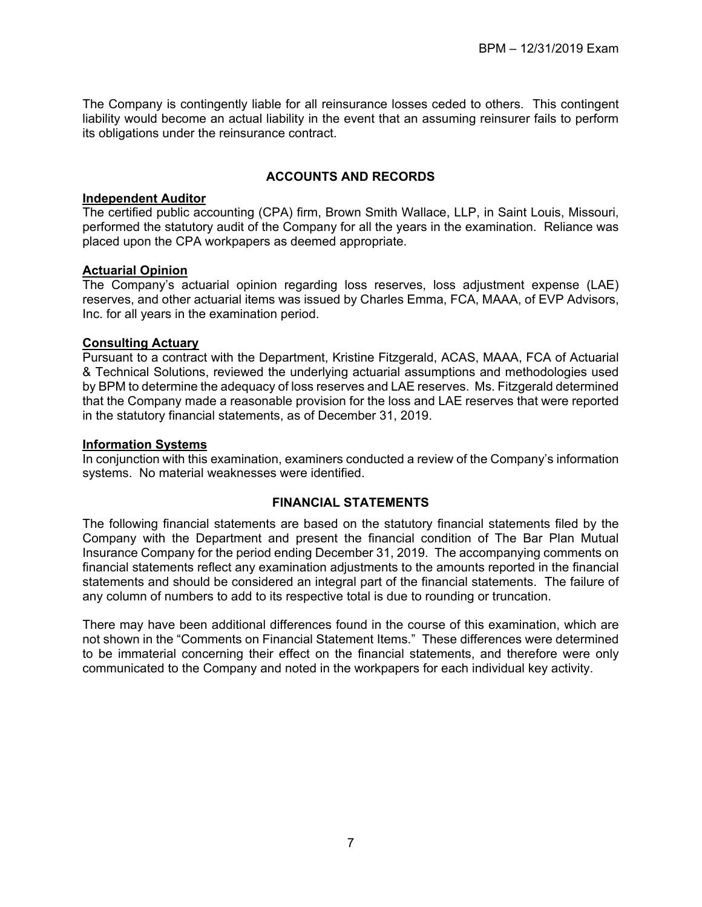The Company is contingently liable for all reinsurance losses ceded to others. This contingent liability would become an actual liability in the event that an assuming reinsurer fails to perform its obligations under the reinsurance contract.

#### **ACCOUNTS AND RECORDS**

#### **Independent Auditor**

The certified public accounting (CPA) firm, Brown Smith Wallace, LLP, in Saint Louis, Missouri, performed the statutory audit of the Company for all the years in the examination. Reliance was placed upon the CPA workpapers as deemed appropriate.

#### **Actuarial Opinion**

The Company's actuarial opinion regarding loss reserves, loss adjustment expense (LAE) reserves, and other actuarial items was issued by Charles Emma, FCA, MAAA, of EVP Advisors, Inc. for all years in the examination period.

#### **Consulting Actuary**

Pursuant to a contract with the Department, Kristine Fitzgerald, ACAS, MAAA, FCA of Actuarial & Technical Solutions, reviewed the underlying actuarial assumptions and methodologies used by BPM to determine the adequacy of loss reserves and LAE reserves. Ms. Fitzgerald determined that the Company made a reasonable provision for the loss and LAE reserves that were reported in the statutory financial statements, as of December 31, 2019.

#### **Information Systems**

In conjunction with this examination, examiners conducted a review of the Company's information systems. No material weaknesses were identified.

#### **FINANCIAL STATEMENTS**

The following financial statements are based on the statutory financial statements filed by the Company with the Department and present the financial condition of The Bar Plan Mutual Insurance Company for the period ending December 31, 2019. The accompanying comments on financial statements reflect any examination adjustments to the amounts reported in the financial statements and should be considered an integral part of the financial statements. The failure of any column of numbers to add to its respective total is due to rounding or truncation.

There may have been additional differences found in the course of this examination, which are not shown in the "Comments on Financial Statement Items." These differences were determined to be immaterial concerning their effect on the financial statements, and therefore were only communicated to the Company and noted in the workpapers for each individual key activity.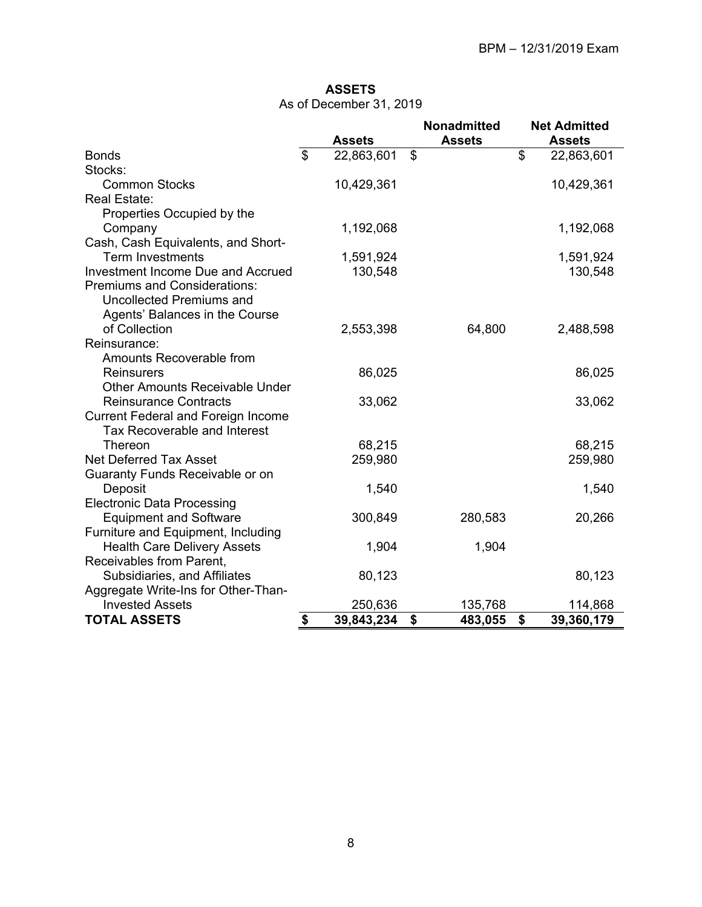#### **ASSETS**  As of December 31, 2019

|                                           |                | <b>Assets</b> | <b>Nonadmitted</b><br><b>Assets</b> | <b>Net Admitted</b><br><b>Assets</b> |
|-------------------------------------------|----------------|---------------|-------------------------------------|--------------------------------------|
| <b>Bonds</b>                              | $\mathfrak{P}$ | 22,863,601    | \$                                  | \$<br>22,863,601                     |
| Stocks:                                   |                |               |                                     |                                      |
| <b>Common Stocks</b>                      |                | 10,429,361    |                                     | 10,429,361                           |
| <b>Real Estate:</b>                       |                |               |                                     |                                      |
| Properties Occupied by the                |                |               |                                     |                                      |
| Company                                   |                | 1,192,068     |                                     | 1,192,068                            |
| Cash, Cash Equivalents, and Short-        |                |               |                                     |                                      |
| <b>Term Investments</b>                   |                | 1,591,924     |                                     | 1,591,924                            |
| Investment Income Due and Accrued         |                | 130,548       |                                     | 130,548                              |
| <b>Premiums and Considerations:</b>       |                |               |                                     |                                      |
| <b>Uncollected Premiums and</b>           |                |               |                                     |                                      |
| Agents' Balances in the Course            |                |               |                                     |                                      |
| of Collection                             |                | 2,553,398     | 64,800                              | 2,488,598                            |
| Reinsurance:                              |                |               |                                     |                                      |
| Amounts Recoverable from                  |                |               |                                     |                                      |
| <b>Reinsurers</b>                         |                | 86,025        |                                     | 86,025                               |
| <b>Other Amounts Receivable Under</b>     |                |               |                                     |                                      |
| <b>Reinsurance Contracts</b>              |                | 33,062        |                                     | 33,062                               |
| <b>Current Federal and Foreign Income</b> |                |               |                                     |                                      |
| <b>Tax Recoverable and Interest</b>       |                |               |                                     |                                      |
| Thereon                                   |                | 68,215        |                                     | 68,215                               |
| <b>Net Deferred Tax Asset</b>             |                | 259,980       |                                     | 259,980                              |
| Guaranty Funds Receivable or on           |                |               |                                     |                                      |
| Deposit                                   |                | 1,540         |                                     | 1,540                                |
| <b>Electronic Data Processing</b>         |                |               |                                     |                                      |
| <b>Equipment and Software</b>             |                | 300,849       | 280,583                             | 20,266                               |
| Furniture and Equipment, Including        |                |               |                                     |                                      |
| <b>Health Care Delivery Assets</b>        |                | 1,904         | 1,904                               |                                      |
| Receivables from Parent,                  |                |               |                                     |                                      |
| Subsidiaries, and Affiliates              |                | 80,123        |                                     | 80,123                               |
| Aggregate Write-Ins for Other-Than-       |                |               |                                     |                                      |
| <b>Invested Assets</b>                    |                | 250,636       | 135,768                             | 114,868                              |
| <b>TOTAL ASSETS</b>                       | \$             | 39,843,234    | \$<br>483,055                       | \$<br>39,360,179                     |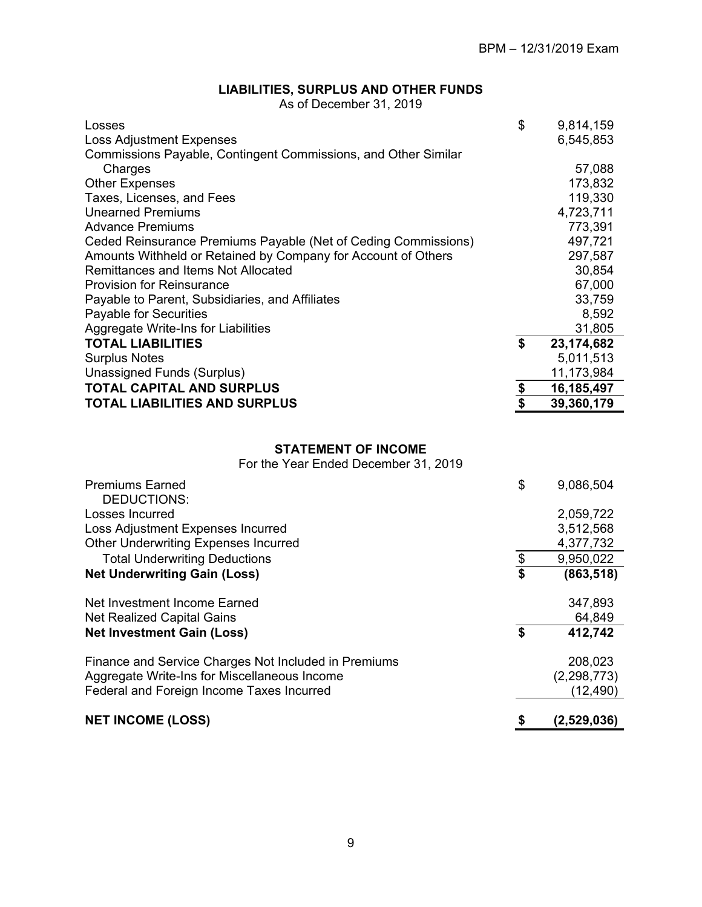### **LIABILITIES, SURPLUS AND OTHER FUNDS**

As of December 31, 2019

| Losses                                                         | \$            | 9,814,159  |
|----------------------------------------------------------------|---------------|------------|
| <b>Loss Adjustment Expenses</b>                                |               | 6,545,853  |
| Commissions Payable, Contingent Commissions, and Other Similar |               |            |
| Charges                                                        |               | 57,088     |
| <b>Other Expenses</b>                                          |               | 173,832    |
| Taxes, Licenses, and Fees                                      |               | 119,330    |
| <b>Unearned Premiums</b>                                       |               | 4,723,711  |
| <b>Advance Premiums</b>                                        |               | 773,391    |
| Ceded Reinsurance Premiums Payable (Net of Ceding Commissions) |               | 497,721    |
| Amounts Withheld or Retained by Company for Account of Others  |               | 297,587    |
| Remittances and Items Not Allocated                            |               | 30,854     |
| <b>Provision for Reinsurance</b>                               |               | 67,000     |
| Payable to Parent, Subsidiaries, and Affiliates                |               | 33,759     |
| Payable for Securities                                         |               | 8,592      |
| Aggregate Write-Ins for Liabilities                            |               | 31,805     |
| <b>TOTAL LIABILITIES</b>                                       | \$            | 23,174,682 |
| <b>Surplus Notes</b>                                           |               | 5,011,513  |
| Unassigned Funds (Surplus)                                     |               | 11,173,984 |
| <b>TOTAL CAPITAL AND SURPLUS</b>                               |               | 16,185,497 |
| <b>TOTAL LIABILITIES AND SURPLUS</b>                           | $\frac{1}{2}$ | 39,360,179 |

#### **STATEMENT OF INCOME**

For the Year Ended December 31, 2019

| <b>Premiums Earned</b><br>DEDUCTIONS:                | \$<br>9,086,504  |
|------------------------------------------------------|------------------|
| Losses Incurred                                      | 2,059,722        |
| Loss Adjustment Expenses Incurred                    | 3,512,568        |
| <b>Other Underwriting Expenses Incurred</b>          | 4,377,732        |
| <b>Total Underwriting Deductions</b>                 | \$<br>9,950,022  |
| <b>Net Underwriting Gain (Loss)</b>                  | \$<br>(863, 518) |
| Net Investment Income Earned                         | 347,893          |
| Net Realized Capital Gains                           | 64,849           |
| <b>Net Investment Gain (Loss)</b>                    | \$<br>412,742    |
| Finance and Service Charges Not Included in Premiums | 208,023          |
| Aggregate Write-Ins for Miscellaneous Income         | (2, 298, 773)    |
| Federal and Foreign Income Taxes Incurred            | (12, 490)        |
|                                                      |                  |
| <b>NET INCOME (LOSS)</b>                             | (2,529,036)      |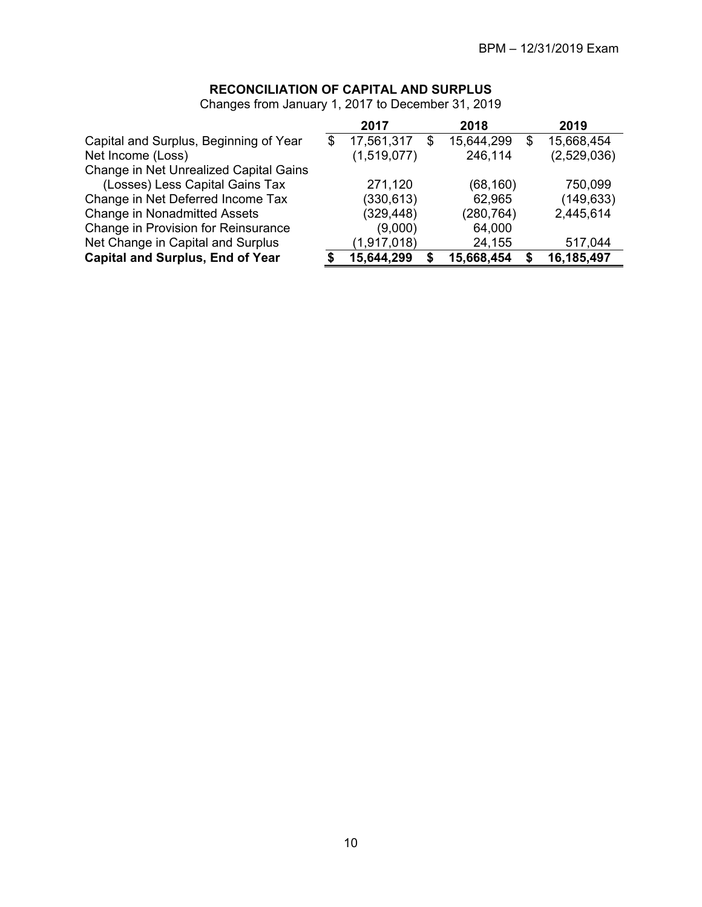### **RECONCILIATION OF CAPITAL AND SURPLUS**

|                                         | 2017             |    | 2018       |    | 2019        |
|-----------------------------------------|------------------|----|------------|----|-------------|
| Capital and Surplus, Beginning of Year  | \$<br>17,561,317 | \$ | 15,644,299 | \$ | 15,668,454  |
| Net Income (Loss)                       | (1,519,077)      |    | 246,114    |    | (2,529,036) |
| Change in Net Unrealized Capital Gains  |                  |    |            |    |             |
| (Losses) Less Capital Gains Tax         | 271,120          |    | (68, 160)  |    | 750,099     |
| Change in Net Deferred Income Tax       | (330, 613)       |    | 62,965     |    | (149, 633)  |
| <b>Change in Nonadmitted Assets</b>     | (329, 448)       |    | (280, 764) |    | 2,445,614   |
| Change in Provision for Reinsurance     | (9,000)          |    | 64,000     |    |             |
| Net Change in Capital and Surplus       | (1,917,018)      |    | 24,155     |    | 517,044     |
| <b>Capital and Surplus, End of Year</b> | 15,644,299       | S  | 15,668,454 | S  | 16,185,497  |

Changes from January 1, 2017 to December 31, 2019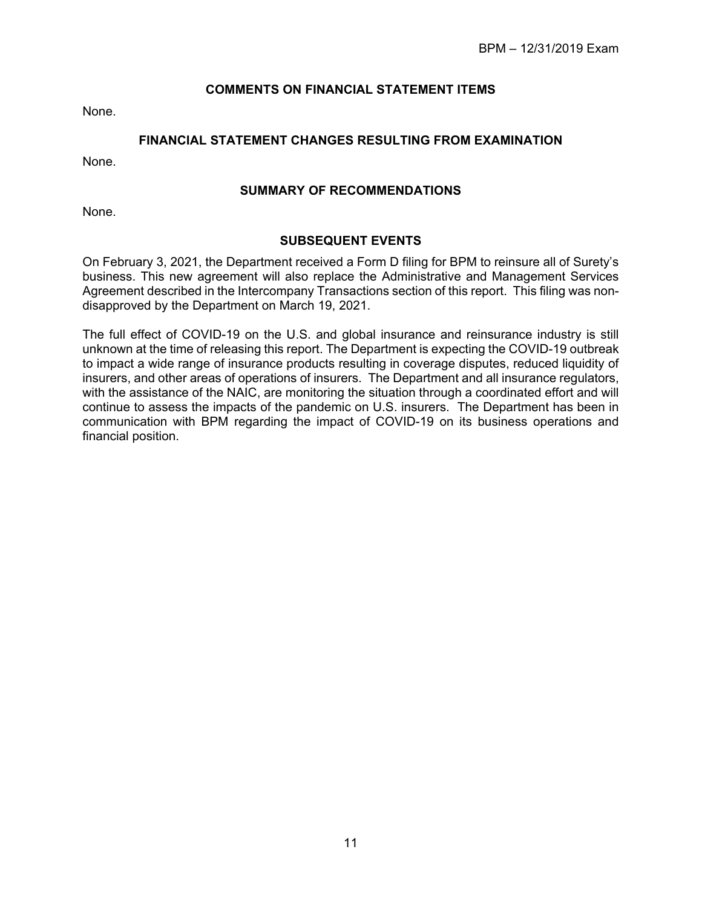#### **COMMENTS ON FINANCIAL STATEMENT ITEMS**

None.

#### **FINANCIAL STATEMENT CHANGES RESULTING FROM EXAMINATION**

None.

#### **SUMMARY OF RECOMMENDATIONS**

None.

#### **SUBSEQUENT EVENTS**

On February 3, 2021, the Department received a Form D filing for BPM to reinsure all of Surety's business. This new agreement will also replace the Administrative and Management Services Agreement described in the Intercompany Transactions section of this report. This filing was nondisapproved by the Department on March 19, 2021.

The full effect of COVID-19 on the U.S. and global insurance and reinsurance industry is still unknown at the time of releasing this report. The Department is expecting the COVID-19 outbreak to impact a wide range of insurance products resulting in coverage disputes, reduced liquidity of insurers, and other areas of operations of insurers. The Department and all insurance regulators, with the assistance of the NAIC, are monitoring the situation through a coordinated effort and will continue to assess the impacts of the pandemic on U.S. insurers. The Department has been in communication with BPM regarding the impact of COVID-19 on its business operations and financial position.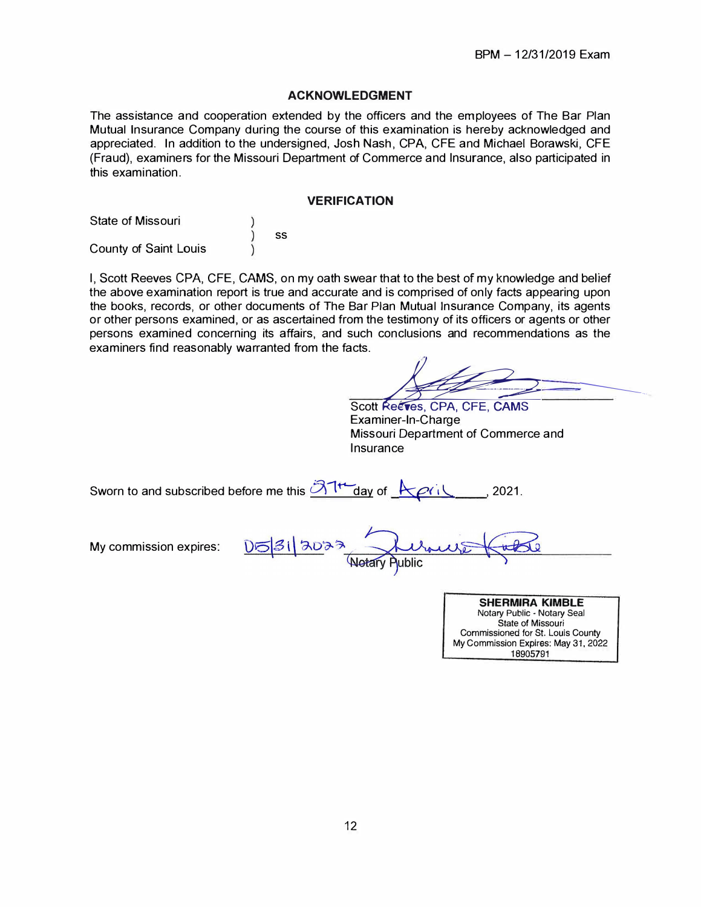#### **ACKNOWLEDGMENT**

The assistance and cooperation extended by the officers and the employees of The Bar Plan Mutual Insurance Company during the course of this examination is hereby acknowledged and appreciated. In addition to the undersigned, Josh Nash, CPA, CFE and Michael Borawski, CFE (Fraud), examiners for the Missouri Department of Commerce and Insurance, also participated in this examination.

#### **VERIFICATION**

| <b>State of Missouri</b>     |    |  |
|------------------------------|----|--|
|                              | SS |  |
| <b>County of Saint Louis</b> |    |  |

I, Scott Reeves CPA, CFE, **CAMS,** on my oath swear that to the best of my knowledge and belief the above examination report is true and accurate and is comprised of only facts appearing upon the books, records, or other documents of The Bar Plan Mutual Insurance Company, its agents or other persons examined, or as ascertained from the testimony of its officers or agents or other persons examined concerning its affairs, and such conclusions and recommendations as the examiners find reasonably warranted from the facts.

Scott Reeves, CPA, CFE, CAMS Examiner-In-Charge Missouri Department of Commerce and Insurance

| Sworn to and subscribed before me this $\partial \mathcal{A}^{\dagger}$ day of $K$ $\rho$ |  |  | 2021. |
|-------------------------------------------------------------------------------------------|--|--|-------|
|-------------------------------------------------------------------------------------------|--|--|-------|

My commission expires:

| 05312023<br>Kernes Ka |  |
|-----------------------|--|
| Notary Public         |  |

**SHERMIRA KIMBLE**  Notary Public • Notary Seal State of Missouri Commissioned for St. Louis County My Commission Expires: May 31, 2022 18905791